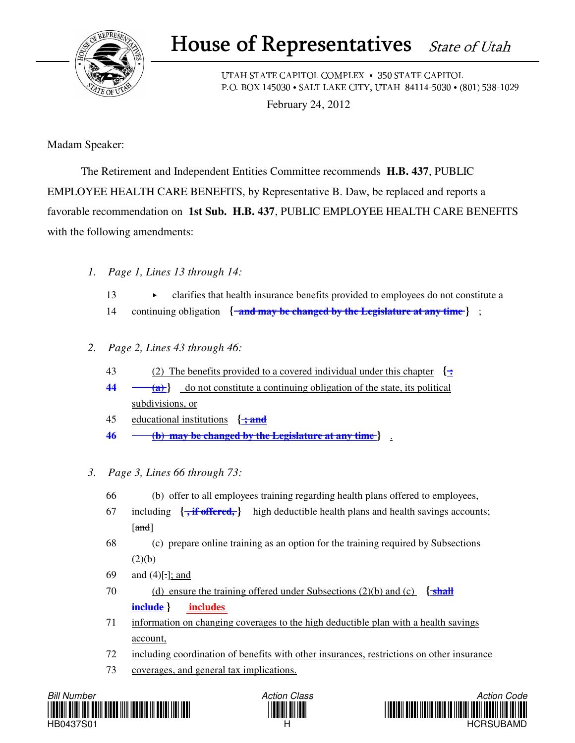

## House of Representatives State of Utah

UTAH STATE CAPITOL COMPLEX • 350 STATE CAPITOL P.O. BOX 145030 • SALT LAKE CITY, UTAH 84114-5030 • (801) 538-1029

February 24, 2012

Madam Speaker:

 The Retirement and Independent Entities Committee recommends **H.B. 437**, PUBLIC EMPLOYEE HEALTH CARE BENEFITS, by Representative B. Daw, be replaced and reports a favorable recommendation on **1st Sub. H.B. 437**, PUBLIC EMPLOYEE HEALTH CARE BENEFITS with the following amendments:

- *1. Page 1, Lines 13 through 14:*
	- 13 clarifies that health insurance benefits provided to employees do not constitute a 14 continuing obligation **{ and may be changed by the Legislature at any time }** ;
- *2. Page 2, Lines 43 through 46:*
	- 43 (2) The benefits provided to a covered individual under this chapter **{ :**
	- **44 <del><sub>(a)</sub>)</del>** do not constitute a continuing obligation of the state, its political subdivisions, or
	- 45 educational institutions **{ ; and**
	- **46 (b) may be changed by the Legislature at any time }** .
- *3. Page 3, Lines 66 through 73:*
	- 66 (b) offer to all employees training regarding health plans offered to employees,
	- 67 including **{ , if offered, }** high deductible health plans and health savings accounts; [and]
	- 68 (c) prepare online training as an option for the training required by Subsections  $(2)(b)$
	- 69 and  $(4)$ [ $\cdot$ ]; and
	- 70 (d) ensure the training offered under Subsections (2)(b) and (c) **{ shall include } includes**
	- 71 information on changing coverages to the high deductible plan with a health savings account,
	- 72 including coordination of benefits with other insurances, restrictions on other insurance
	- 73 coverages, and general tax implications.